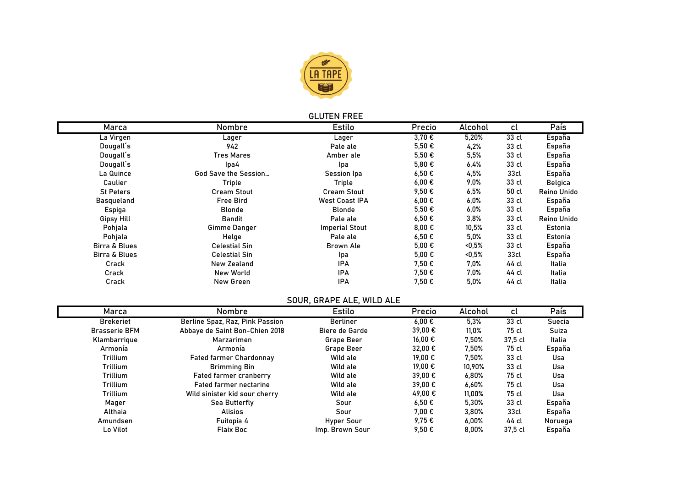

### **GLUTEN FREE**

| Marca                    | Nombre               | <b>Estilo</b>         | Precio              | Alcohol | cl               | País        |
|--------------------------|----------------------|-----------------------|---------------------|---------|------------------|-------------|
| La Virgen                | Lager                | Lager                 | 3,70 €              | 5,20%   | 33 cl            | España      |
| Dougall's                | 942                  | Pale ale              | $5.50 \epsilon$     | 4,2%    | 33 cl            | España      |
| Dougall's                | <b>Tres Mares</b>    | Amber ale             | $5.50 \epsilon$     | 5,5%    | 33 cl            | España      |
| Dougall's                | lpa4                 | Ipa                   | $5,80 \in$          | 6,4%    | 33 cl            | España      |
| La Quince                | God Save the Session | Session Ipa           | $6,50 \in$          | 4,5%    | 33cl             | España      |
| Caulier                  | Triple               | Triple                | $6,00 \in$          | 9,0%    | 33 cl            | Belgica     |
| <b>St Peters</b>         | <b>Cream Stout</b>   | <b>Cream Stout</b>    | 9,50€               | 6,5%    | 50 cl            | Reino Unido |
| <b>Basqueland</b>        | <b>Free Bird</b>     | <b>West Coast IPA</b> | $6,00 \in$          | $6,0\%$ | 33 cl            | España      |
| Espiga                   | <b>Blonde</b>        | <b>Blonde</b>         | 5,50€               | 6,0%    | 33 cl            | España      |
| Gipsy Hill               | Bandit               | Pale ale              | $6,50 \in$          | 3,8%    | 33 cl            | Reino Unido |
| Pohjala                  | Gimme Danger         | <b>Imperial Stout</b> | 8,00 $\epsilon$     | 10,5%   | 33 cl            | Estonia     |
| Pohjala                  | Helge                | Pale ale              | $6,50 \in$          | 5,0%    | 33 cl            | Estonia     |
| Birra & Blues            | <b>Celestial Sin</b> | Brown Ale             | $5.00 \text{ } \in$ | <0,5%   | 33 cl            | España      |
| <b>Birra &amp; Blues</b> | <b>Celestial Sin</b> | Ipa                   | $5.00 \text{ } \in$ | <0,5%   | 33 <sub>cl</sub> | España      |
| Crack                    | New Zealand          | <b>IPA</b>            | 7,50 €              | 7.0%    | 44 cl            | Italia      |
| Crack                    | New World            | <b>IPA</b>            | 7.50€               | 7.0%    | 44 cl            | Italia      |
| Crack                    | New Green            | IPA                   | 7,50 €              | 5,0%    | 44 cl            | Italia      |

### **SOUR, GRAPE ALE, WILD ALE**

|                      |                                 | <u> JUURN JIMAL EIREE, IIIED IREE</u> |                     |          |         |         |
|----------------------|---------------------------------|---------------------------------------|---------------------|----------|---------|---------|
| Marca                | Nombre                          | Estilo                                | Precio              | Alcohol  | cl      | País    |
| <b>Brekeriet</b>     | Berline Spaz, Raz, Pink Passion | <b>Berliner</b>                       | $6.00 \text{ } \in$ | 5,3%     | 33 cl   | Suecia  |
| <b>Brasserie BFM</b> | Abbaye de Saint Bon-Chien 2018  | Biere de Garde                        | 39,00 €             | 11,0%    | 75 cl   | Suiza   |
| Klambarrique         | Marzarimen                      | <b>Grape Beer</b>                     | 16.00 €             | 7,50%    | 37.5 cl | Italia  |
| Armonía              | Armonía                         | <b>Grape Beer</b>                     | 32,00 €             | 7,50%    | 75 cl   | España  |
| Trillium             | <b>Fated farmer Chardonnay</b>  | Wild ale                              | 19.00 €             | 7,50%    | 33 cl   | Usa     |
| Trillium             | <b>Brimming Bin</b>             | Wild ale                              | 19.00 €             | 10,90%   | 33 cl   | Usa     |
| Trillium             | Fated farmer cranberry          | Wild ale                              | 39.00 €             | 6,80%    | 75 cl   | Usa     |
| Trillium             | <b>Fated farmer nectarine</b>   | Wild ale                              | $39.00 \in$         | 6,60%    | 75 cl   | Usa     |
| Trillium             | Wild sinister kid sour cherry   | Wild ale                              | 49,00 €             | 11,00%   | 75 cl   | Usa     |
| Mager                | Sea Butterfly                   | Sour                                  | $6,50 \in$          | 5,30%    | 33 cl   | España  |
| Althaia              | <b>Alisios</b>                  | Sour                                  | $7.00 \text{ } \in$ | 3,80%    | 33 cl   | España  |
| Amundsen             | Fuitopia 4                      | Hyper Sour                            | 9,75€               | 6,00%    | 44 cl   | Noruega |
| Lo Vilot             | <b>Flaix Boc</b>                | Imp. Brown Sour                       | 9,50€               | $8,00\%$ | 37,5 cl | España  |
|                      |                                 |                                       |                     |          |         |         |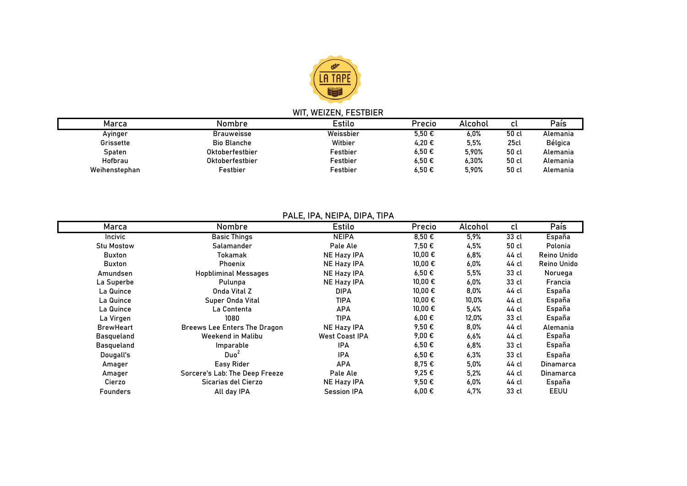

# **WIT, WEIZEN, FESTBIER**

| Marca         | Nombre             | Estilo    | Precio | Alcohol | cι               | País     |
|---------------|--------------------|-----------|--------|---------|------------------|----------|
| Avinger       | <b>Brauweisse</b>  | Weissbier | 5.50€  | 6.0%    | 50 cl            | Alemania |
| Grissette     | <b>Bio Blanche</b> | Witbier   | 4,20€  | 5.5%    | 25 <sub>cl</sub> | Bélgica  |
| Spaten        | Oktoberfestbier    | Festbier  | 6,50€  | 5.90%   | 50 cl            | Alemania |
| Hofbrau       | Oktoberfestbier    | Festbier  | 6.50€  | 6,30%   | 50 cl            | Alemania |
| Weihenstephan | Festbier           | Festbier  | 6.50€  | 5.90%   | 50 cl            | Alemania |

# **PALE, IPA, NEIPA, DIPA, TIPA**

| Marca             | Nombre                              | Estilo                | Precio      | Alcohol | cl    | País             |
|-------------------|-------------------------------------|-----------------------|-------------|---------|-------|------------------|
| Incivic           | <b>Basic Things</b>                 | <b>NEIPA</b>          | $8,50 \in$  | 5.9%    | 33 cl | España           |
| <b>Stu Mostow</b> | Salamander                          | Pale Ale              | 7,50 €      | 4,5%    | 50 cl | Polonia          |
| <b>Buxton</b>     | Tokamak                             | NE Hazy IPA           | $10,00 \in$ | 6.8%    | 44 cl | Reino Unido      |
| <b>Buxton</b>     | <b>Phoenix</b>                      | <b>NE Hazy IPA</b>    | $10,00 \in$ | 6,0%    | 44 cl | Reino Unido      |
| Amundsen          | <b>Hopbliminal Messages</b>         | NE Hazy IPA           | 6,50€       | 5,5%    | 33 cl | Noruega          |
| La Superbe        | Pulunpa                             | NE Hazy IPA           | 10,00 €     | $6,0\%$ | 33 cl | Francia          |
| La Quince         | Onda Vital Z                        | <b>DIPA</b>           | $10,00 \in$ | 8,0%    | 44 cl | España           |
| La Quince         | Super Onda Vital                    | <b>TIPA</b>           | 10,00 €     | 10,0%   | 44 cl | España           |
| La Quince         | La Contenta                         | <b>APA</b>            | 10,00 €     | 5,4%    | 44 cl | España           |
| La Virgen         | 1080                                | <b>TIPA</b>           | $6,00 \in$  | 12,0%   | 33 cl | España           |
| <b>BrewHeart</b>  | <b>Breews Lee Enters The Dragon</b> | NE Hazy IPA           | 9,50€       | 8,0%    | 44 cl | Alemania         |
| Basqueland        | Weekend in Malibu                   | <b>West Coast IPA</b> | 9,00 €      | 6,6%    | 44 cl | España           |
| Basqueland        | Imparable                           | IPA                   | $6,50 \in$  | 6,8%    | 33 cl | España           |
| Dougall's         | Duo <sup>2</sup>                    | <b>IPA</b>            | 6,50€       | 6,3%    | 33 cl | España           |
| Amager            | Easy Rider                          | <b>APA</b>            | 8,75€       | 5,0%    | 44 cl | <b>Dinamarca</b> |
| Amager            | Sorcere's Lab: The Deep Freeze      | Pale Ale              | 9,25 €      | 5,2%    | 44 cl | Dinamarca        |
| Cierzo            | Sicarias del Cierzo                 | NE Hazy IPA           | 9,50€       | $6,0\%$ | 44 cl | España           |
| <b>Founders</b>   | All day IPA                         | <b>Session IPA</b>    | 6,00€       | 4,7%    | 33 cl | EEUU             |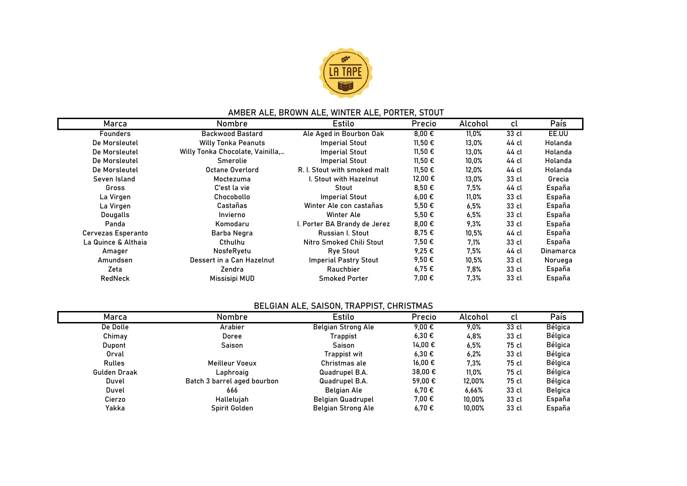

### **AMBER ALE, BROWN ALE, WINTER ALE, PORTER, STOUT**

| Marca                     | <b>Nombre</b>                    | Estilo                       | Precio          | Alcohol  | cl    | País      |
|---------------------------|----------------------------------|------------------------------|-----------------|----------|-------|-----------|
| <b>Founders</b>           | <b>Backwood Bastard</b>          | Ale Aged in Bourbon Oak      | $8,00 \in$      | 11,0%    | 33 cl | EE.UU     |
| De Morsleutel             | <b>Willy Tonka Peanuts</b>       | <b>Imperial Stout</b>        | 11,50 €         | 13,0%    | 44 cl | Holanda   |
| De Morsleutel             | Willy Tonka Chocolate, Vainilla, | <b>Imperial Stout</b>        | 11,50 €         | 13,0%    | 44 cl | Holanda   |
| De Morsleutel             | Smerolie                         | <b>Imperial Stout</b>        | 11,50 €         | $10,0\%$ | 44 cl | Holanda   |
| De Morsleutel             | Octane Overlord                  | R. I. Stout with smoked malt | 11,50 €         | 12,0%    | 44 cl | Holanda   |
| Seven Island              | Moctezuma                        | I. Stout with Hazelnut       | 12,00 €         | 13,0%    | 33 cl | Grecia    |
| Gross                     | C'est la vie                     | Stout                        | 8,50€           | $7.5\%$  | 44 cl | España    |
| La Virgen                 | Chocobollo                       | <b>Imperial Stout</b>        | $6,00 \in$      | 11,0%    | 33 cl | España    |
| La Virgen                 | Castañas                         | Winter Ale con castañas      | $5.50 \epsilon$ | 6.5%     | 33 cl | España    |
| <b>Dougalls</b>           | Invierno                         | Winter Ale                   | $5,50 \in$      | 6.5%     | 33 cl | España    |
| Panda                     | Komodaru                         | I. Porter BA Brandy de Jerez | 8,00 $\epsilon$ | 9.3%     | 33 cl | España    |
| <b>Cervezas Esperanto</b> | Barba Negra                      | Russian I. Stout             | 8,75€           | 10,5%    | 44 cl | España    |
| La Quince & Althaia       | Cthulhu                          | Nitro Smoked Chili Stout     | 7,50 €          | 7.1%     | 33 cl | España    |
| Amager                    | NosfeRyetu                       | <b>Rye Stout</b>             | 9,25€           | 7.5%     | 44 cl | Dinamarca |
| Amundsen                  | Dessert in a Can Hazelnut        | <b>Imperial Pastry Stout</b> | 9,50€           | 10,5%    | 33 cl | Noruega   |
| Zeta                      | Zendra                           | Rauchbier                    | 6,75€           | 7,8%     | 33 cl | España    |
| RedNeck                   | Missisipi MUD                    | <b>Smoked Porter</b>         | 7,00 €          | 7.3%     | 33 cl | España    |

# **BELGIAN ALE, SAISON, TRAPPIST, CHRISTMAS**

| Marca               | Nombre                      | Estilo                    | Precio          | Alcohol | cl    | País    |
|---------------------|-----------------------------|---------------------------|-----------------|---------|-------|---------|
| De Dolle            | Arabier                     | <b>Belgian Strong Ale</b> | 9.00 $\epsilon$ | $9.0\%$ | 33 cl | Bélgica |
| Chimay              | Doree                       | Trappist                  | 6.30€           | 4,8%    | 33 cl | Bélgica |
| Dupont              | Saison                      | Saison                    | 14,00 €         | 6.5%    | 75 cl | Bélgica |
| Orval               |                             | <b>Trappist wit</b>       | 6.30€           | 6,2%    | 33 cl | Bélgica |
| Rulles              | Meilleur Voeux              | Christmas ale             | 16.00 €         | 7.3%    | 75 cl | Bélgica |
| <b>Gulden Draak</b> | Laphroaig                   | Quadrupel B.A.            | 38,00 €         | 11,0%   | 75 cl | Bélgica |
| Duvel               | Batch 3 barrel aged bourbon | Quadrupel B.A.            | 59.00 €         | 12.00%  | 75 cl | Bélgica |
| Duvel               | 666                         | Belgian Ale               | 6.70€           | 6.66%   | 33 cl | Belgica |
| Cierzo              | Hallelujah                  | <b>Belgian Quadrupel</b>  | 7.00 €          | 10.00%  | 33 cl | España  |
| Yakka               | Spirit Golden               | <b>Belgian Strong Ale</b> | 6.70€           | 10.00%  | 33 cl | España  |